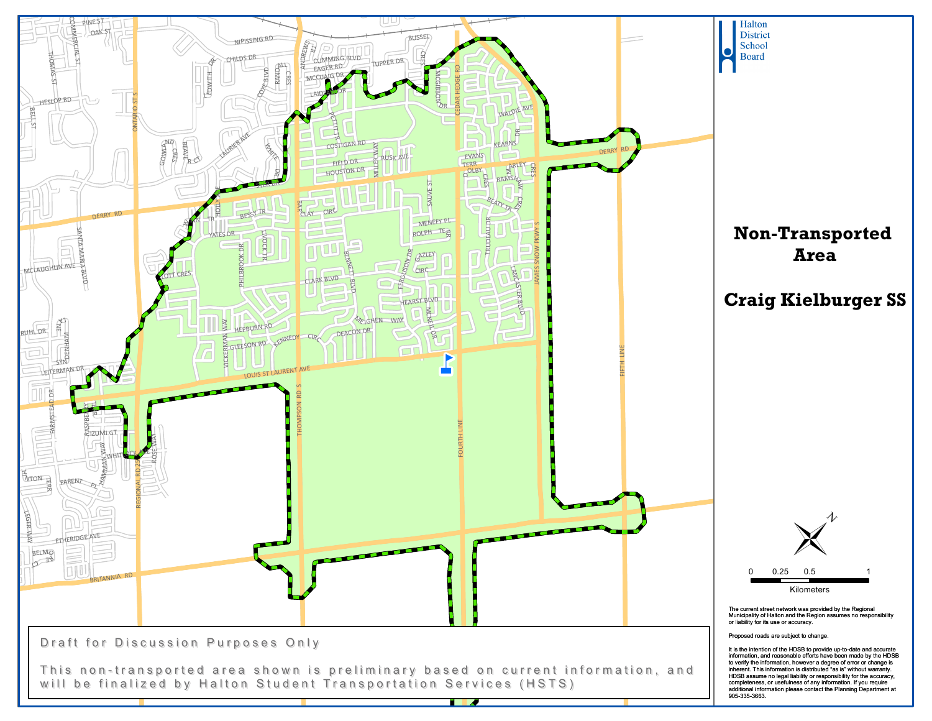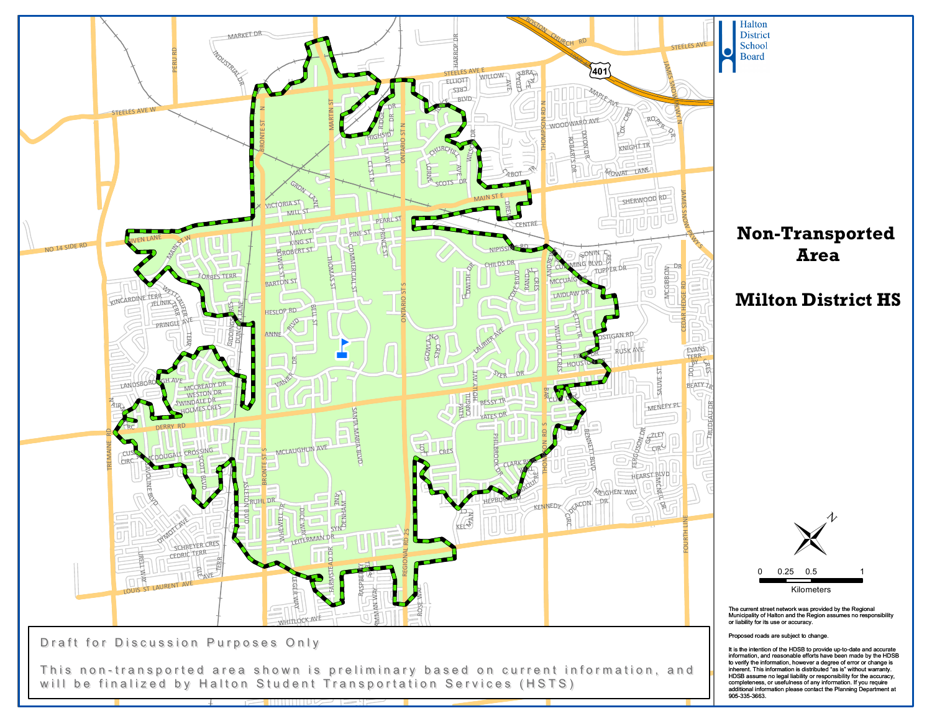